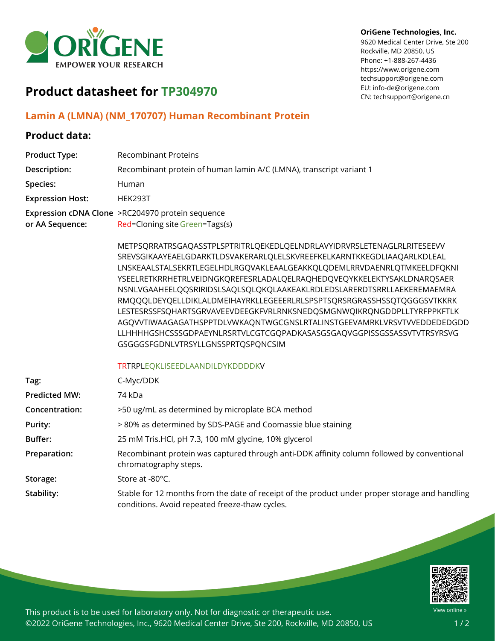

#### **OriGene Technologies, Inc.**

9620 Medical Center Drive, Ste 200 Rockville, MD 20850, US Phone: +1-888-267-4436 https://www.origene.com techsupport@origene.com EU: info-de@origene.com CN: techsupport@origene.cn

# **Product datasheet for TP304970**

#### **Lamin A (LMNA) (NM\_170707) Human Recombinant Protein**

### **Product data:**

| <b>Product Type:</b>    | <b>Recombinant Proteins</b>                                                                                                                                                                                                                                                                                                                                                                                                                                                                                                                                                                                                                                                                                                  |
|-------------------------|------------------------------------------------------------------------------------------------------------------------------------------------------------------------------------------------------------------------------------------------------------------------------------------------------------------------------------------------------------------------------------------------------------------------------------------------------------------------------------------------------------------------------------------------------------------------------------------------------------------------------------------------------------------------------------------------------------------------------|
| Description:            | Recombinant protein of human lamin A/C (LMNA), transcript variant 1                                                                                                                                                                                                                                                                                                                                                                                                                                                                                                                                                                                                                                                          |
| Species:                | Human                                                                                                                                                                                                                                                                                                                                                                                                                                                                                                                                                                                                                                                                                                                        |
| <b>Expression Host:</b> | <b>HEK293T</b>                                                                                                                                                                                                                                                                                                                                                                                                                                                                                                                                                                                                                                                                                                               |
| or AA Sequence:         | Expression cDNA Clone >RC204970 protein sequence<br>Red=Cloning site Green=Tags(s)                                                                                                                                                                                                                                                                                                                                                                                                                                                                                                                                                                                                                                           |
|                         | METPSQRRATRSGAQASSTPLSPTRITRLQEKEDLQELNDRLAVYIDRVRSLETENAGLRLRITESEEVV<br>SREVSGIKAAYEAELGDARKTLDSVAKERARLQLELSKVREEFKELKARNTKKEGDLIAAQARLKDLEAL<br>LNSKEAALSTALSEKRTLEGELHDLRGQVAKLEAALGEAKKQLQDEMLRRVDAENRLQTMKEELDFQKNI<br>YSEELRETKRRHETRLVEIDNGKQREFESRLADALQELRAQHEDQVEQYKKELEKTYSAKLDNARQSAER<br>NSNLVGAAHEELQQSRIRIDSLSAQLSQLQKQLAAKEAKLRDLEDSLARERDTSRRLLAEKEREMAEMRA<br>RMQQQLDEYQELLDIKLALDMEIHAYRKLLEGEEERLRLSPSPTSQRSRGRASSHSSQTQGGGSVTKKRK<br>LESTESRSSFSQHARTSGRVAVEEVDEEGKFVRLRNKSNEDQSMGNWQIKRQNGDDPLLTYRFPPKFTLK<br>AGQVVTIWAAGAGATHSPPTDLVWKAQNTWGCGNSLRTALINSTGEEVAMRKLVRSVTVVEDDEDEDGDD<br>LLHHHHGSHCSSSGDPAEYNLRSRTVLCGTCGQPADKASASGSGAQVGGPISSGSSASSVTVTRSYRSVG<br>GSGGGSFGDNLVTRSYLLGNSSPRTQSPQNCSIM |
|                         | <b>TRTRPLEQKLISEEDLAANDILDYKDDDDKV</b>                                                                                                                                                                                                                                                                                                                                                                                                                                                                                                                                                                                                                                                                                       |
| Tag:                    | C-Myc/DDK                                                                                                                                                                                                                                                                                                                                                                                                                                                                                                                                                                                                                                                                                                                    |
| <b>Predicted MW:</b>    | 74 kDa                                                                                                                                                                                                                                                                                                                                                                                                                                                                                                                                                                                                                                                                                                                       |
| Concentration:          | >50 ug/mL as determined by microplate BCA method                                                                                                                                                                                                                                                                                                                                                                                                                                                                                                                                                                                                                                                                             |
| <b>Purity:</b>          | >80% as determined by SDS-PAGE and Coomassie blue staining                                                                                                                                                                                                                                                                                                                                                                                                                                                                                                                                                                                                                                                                   |
| Buffer:                 | 25 mM Tris.HCl, pH 7.3, 100 mM glycine, 10% glycerol                                                                                                                                                                                                                                                                                                                                                                                                                                                                                                                                                                                                                                                                         |
| Preparation:            | Recombinant protein was captured through anti-DDK affinity column followed by conventional<br>chromatography steps.                                                                                                                                                                                                                                                                                                                                                                                                                                                                                                                                                                                                          |
| Storage:                | Store at -80°C.                                                                                                                                                                                                                                                                                                                                                                                                                                                                                                                                                                                                                                                                                                              |
| Stability:              | Stable for 12 months from the date of receipt of the product under proper storage and handling<br>conditions. Avoid repeated freeze-thaw cycles.                                                                                                                                                                                                                                                                                                                                                                                                                                                                                                                                                                             |



This product is to be used for laboratory only. Not for diagnostic or therapeutic use. ©2022 OriGene Technologies, Inc., 9620 Medical Center Drive, Ste 200, Rockville, MD 20850, US